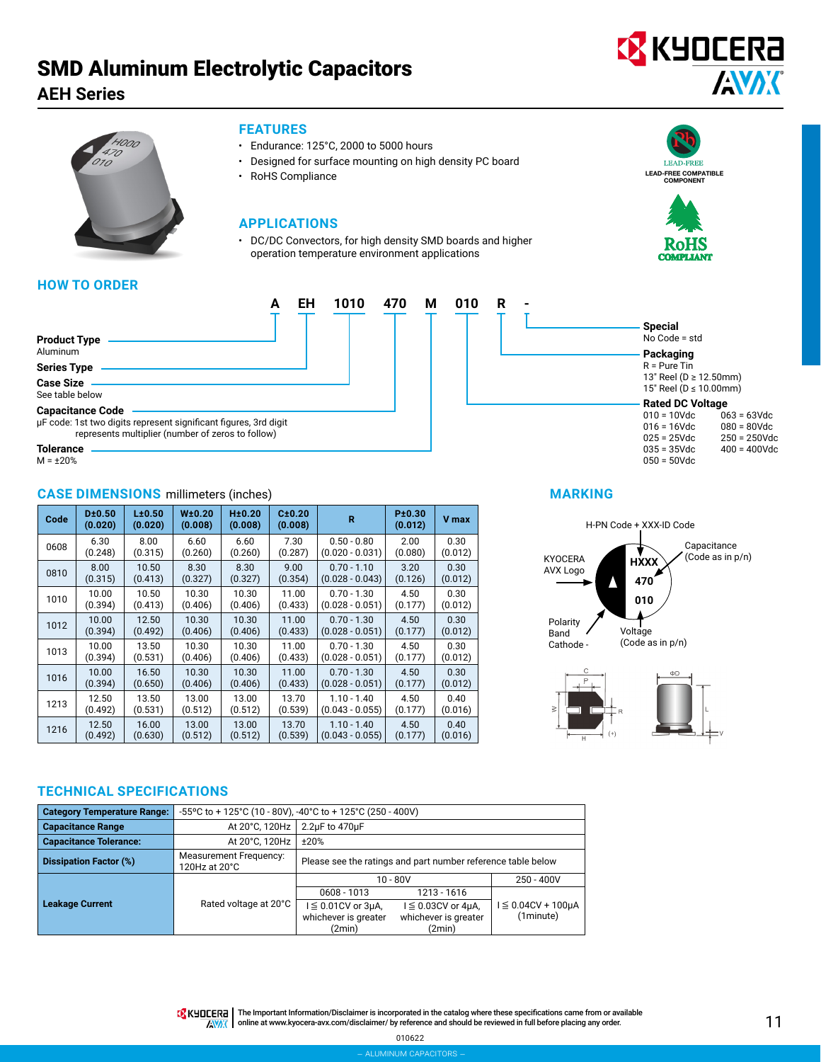# SMD Aluminum Electrolytic Capacitors

**AEH Series**





### **FEATURES**

- Endurance: 125°C, 2000 to 5000 hours
- Designed for surface mounting on high density PC board
- RoHS Compliance

# **APPLICATIONS**

• DC/DC Convectors, for high density SMD boards and higher operation temperature environment applications





 $063 = 63$ Vdc 080 = 80Vdc 250 = 250Vdc 400 = 400Vdc

**Special** No Code = std **Packaging**  $R =$  Pure Tin 13" Reel (D ≥ 12.50mm) 15" Reel (D ≤ 10.00mm) **Rated DC Voltage** 010 = 10Vdc 016 = 16Vdc 025 = 25Vdc 035 = 35Vdc 050 = 50Vdc

# **HOW TO ORDER**

|                                                                                                                                                  | FH | 1010 | 470 | М | 010 | R |  |
|--------------------------------------------------------------------------------------------------------------------------------------------------|----|------|-----|---|-----|---|--|
| <b>Product Type</b><br>Aluminum                                                                                                                  |    |      |     |   |     |   |  |
| <b>Series Type</b>                                                                                                                               |    |      |     |   |     |   |  |
| <b>Case Size</b><br>See table below                                                                                                              |    |      |     |   |     |   |  |
| <b>Capacitance Code</b><br>µF code: 1st two digits represent significant figures, 3rd digit<br>represents multiplier (number of zeros to follow) |    |      |     |   |     |   |  |
| Tolerance                                                                                                                                        |    |      |     |   |     |   |  |

**Tolerance**  $M = \pm 20\%$ 

# **CASE DIMENSIONS** millimeters (inches) **MARKING**

| Code | D±0.50<br>(0.020) | L±0.50<br>(0.020) | W±0.20<br>(0.008) | H±0.20<br>(0.008) | C±0.20<br>(0.008) | R                 | P±0.30<br>(0.012) | <b>V</b> max |
|------|-------------------|-------------------|-------------------|-------------------|-------------------|-------------------|-------------------|--------------|
| 0608 | 6.30              | 8.00              | 6.60              | 6.60              | 7.30              | $0.50 - 0.80$     | 2.00              | 0.30         |
|      | (0.248)           | (0.315)           | (0.260)           | (0.260)           | (0.287)           | $(0.020 - 0.031)$ | (0.080)           | (0.012)      |
| 0810 | 8.00              | 10.50             | 8.30              | 8.30              | 9.00              | $0.70 - 1.10$     | 3.20              | 0.30         |
|      | (0.315)           | (0.413)           | (0.327)           | (0.327)           | (0.354)           | $(0.028 - 0.043)$ | (0.126)           | (0.012)      |
| 1010 | 10.00             | 10.50             | 10.30             | 10.30             | 11.00             | $0.70 - 1.30$     | 4.50              | 0.30         |
|      | (0.394)           | (0.413)           | (0.406)           | (0.406)           | (0.433)           | $(0.028 - 0.051)$ | (0.177)           | (0.012)      |
| 1012 | 10.00             | 12.50             | 10.30             | 10.30             | 11.00             | $0.70 - 1.30$     | 4.50              | 0.30         |
|      | (0.394)           | (0.492)           | (0.406)           | (0.406)           | (0.433)           | $(0.028 - 0.051)$ | (0.177)           | (0.012)      |
| 1013 | 10.00             | 13.50             | 10.30             | 10.30             | 11.00             | $0.70 - 1.30$     | 4.50              | 0.30         |
|      | (0.394)           | (0.531)           | (0.406)           | (0.406)           | (0.433)           | $(0.028 - 0.051)$ | (0.177)           | (0.012)      |
| 1016 | 10.00             | 16.50             | 10.30             | 10.30             | 11.00             | $0.70 - 1.30$     | 4.50              | 0.30         |
|      | (0.394)           | (0.650)           | (0.406)           | (0.406)           | (0.433)           | $(0.028 - 0.051)$ | (0.177)           | (0.012)      |
| 1213 | 12.50             | 13.50             | 13.00             | 13.00             | 13.70             | $1.10 - 1.40$     | 4.50              | 0.40         |
|      | (0.492)           | (0.531)           | (0.512)           | (0.512)           | (0.539)           | $(0.043 - 0.055)$ | (0.177)           | (0.016)      |
| 1216 | 12.50             | 16.00             | 13.00             | 13.00             | 13.70             | $1.10 - 1.40$     | 4.50              | 0.40         |
|      | (0.492)           | (0.630)           | (0.512)           | (0.512)           | (0.539)           | $(0.043 - 0.055)$ | (0.177)           | (0.016)      |



# **TECHNICAL SPECIFICATIONS**

| <b>Category Temperature Range:</b> |                                                | -55°C to + 125°C (10 - 80V), -40°C to + 125°C (250 - 400V)   |                         |                            |  |  |  |  |  |
|------------------------------------|------------------------------------------------|--------------------------------------------------------------|-------------------------|----------------------------|--|--|--|--|--|
| <b>Capacitance Range</b>           | At 20°C, 120Hz                                 | 2.2uF to 470uF                                               |                         |                            |  |  |  |  |  |
| <b>Capacitance Tolerance:</b>      | At 20°C, 120Hz                                 | ±20%                                                         |                         |                            |  |  |  |  |  |
| <b>Dissipation Factor (%)</b>      | <b>Measurement Frequency:</b><br>120Hz at 20°C | Please see the ratings and part number reference table below |                         |                            |  |  |  |  |  |
|                                    |                                                |                                                              | $10 - 80V$              | $250 - 400V$               |  |  |  |  |  |
|                                    |                                                | 0608 - 1013                                                  | 1213 - 1616             |                            |  |  |  |  |  |
| <b>Leakage Current</b>             | Rated voltage at 20°C                          | $I \leq 0.01$ CV or $3\mu$ A,                                | $I \leq 0.03CV$ or 4µA, | $I \leq 0.04CV + 100\mu A$ |  |  |  |  |  |
|                                    |                                                | whichever is greater                                         | whichever is greater    | (1minute)                  |  |  |  |  |  |
|                                    |                                                | (2min)                                                       | (2min)                  |                            |  |  |  |  |  |

**TA** KHOCER<sub>E</sub> | The Important Information/Disclaimer is incorporated in the catalog where these specifications came from or available **AVAK** online at [www.kyocera-avx.com/disclaimer/](http://www.kyocera-avx.com/disclaimer/) by reference and should be reviewed in full before placing any order.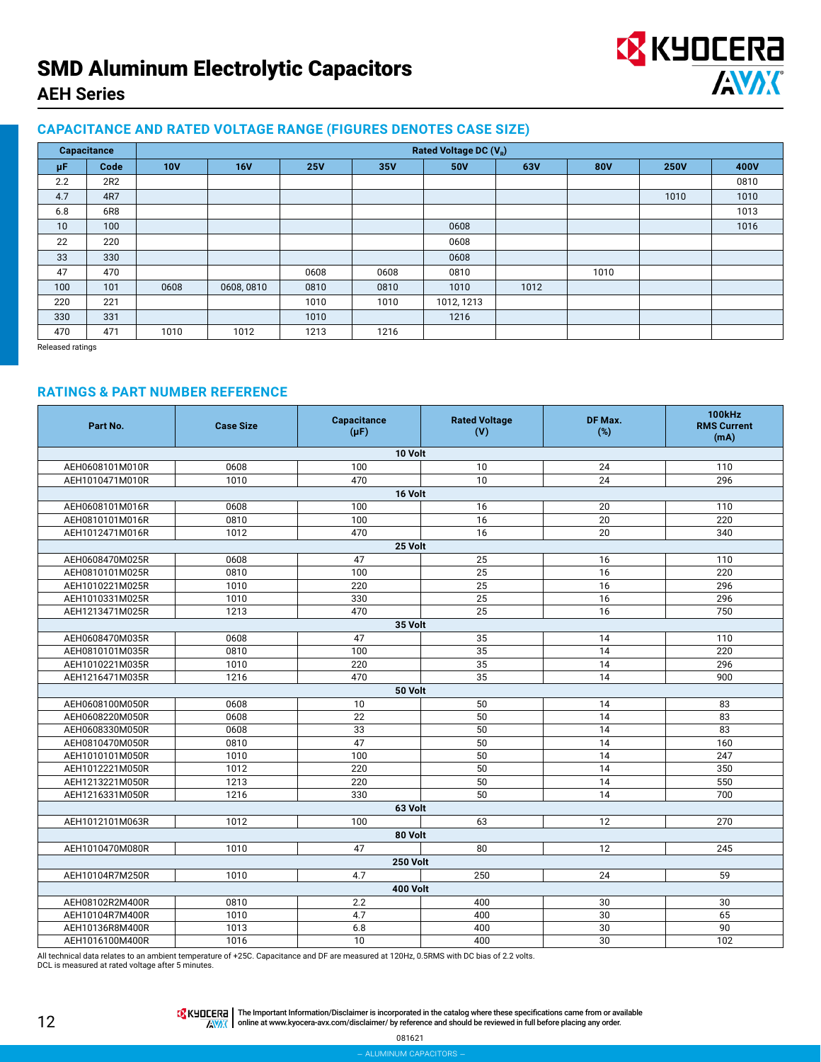# SMD Aluminum Electrolytic Capacitors **AEH Series**



# **CAPACITANCE AND RATED VOLTAGE RANGE (FIGURES DENOTES CASE SIZE)**

|     | Capacitance |            | Rated Voltage DC (V <sub>R</sub> ) |            |      |            |      |            |             |      |  |  |
|-----|-------------|------------|------------------------------------|------------|------|------------|------|------------|-------------|------|--|--|
| μF  | Code        | <b>10V</b> | 16V                                | <b>25V</b> | 35V  | 50V        | 63V  | <b>80V</b> | <b>250V</b> | 400V |  |  |
| 2.2 | 2R2         |            |                                    |            |      |            |      |            |             | 0810 |  |  |
| 4.7 | 4R7         |            |                                    |            |      |            |      |            | 1010        | 1010 |  |  |
| 6.8 | 6R8         |            |                                    |            |      |            |      |            |             | 1013 |  |  |
| 10  | 100         |            |                                    |            |      | 0608       |      |            |             | 1016 |  |  |
| 22  | 220         |            |                                    |            |      | 0608       |      |            |             |      |  |  |
| 33  | 330         |            |                                    |            |      | 0608       |      |            |             |      |  |  |
| 47  | 470         |            |                                    | 0608       | 0608 | 0810       |      | 1010       |             |      |  |  |
| 100 | 101         | 0608       | 0608,0810                          | 0810       | 0810 | 1010       | 1012 |            |             |      |  |  |
| 220 | 221         |            |                                    | 1010       | 1010 | 1012, 1213 |      |            |             |      |  |  |
| 330 | 331         |            |                                    | 1010       |      | 1216       |      |            |             |      |  |  |
| 470 | 471         | 1010       | 1012                               | 1213       | 1216 |            |      |            |             |      |  |  |

Released ratings

# **RATINGS & PART NUMBER REFERENCE**

| Part No.                                                      | <b>Case Size</b> | Capacitance<br>$(\mu F)$ | <b>Rated Voltage</b><br>(V)       | DF Max.<br>(%) | <b>100kHz</b><br><b>RMS Current</b><br>(mA) |  |  |  |  |  |
|---------------------------------------------------------------|------------------|--------------------------|-----------------------------------|----------------|---------------------------------------------|--|--|--|--|--|
|                                                               | 10 Volt          |                          |                                   |                |                                             |  |  |  |  |  |
| AEH0608101M010R                                               | 0608             | 100                      | 10                                | 24             | 110                                         |  |  |  |  |  |
| AEH1010471M010R                                               | 1010             | 470                      | 10                                | 24             | 296                                         |  |  |  |  |  |
|                                                               | 16 Volt          |                          |                                   |                |                                             |  |  |  |  |  |
| AEH0608101M016R                                               | 0608             | 100                      | 16                                | 20             | 110                                         |  |  |  |  |  |
| AEH0810101M016R                                               | 0810             | 100                      | 16                                | 20             | 220                                         |  |  |  |  |  |
| AEH1012471M016R                                               | 1012             | 470                      | 16                                | 20             | 340                                         |  |  |  |  |  |
|                                                               |                  | 25 Volt                  |                                   |                |                                             |  |  |  |  |  |
| AEH0608470M025R                                               | 0608             | 47                       | 25                                | 16             | 110                                         |  |  |  |  |  |
| AEH0810101M025R                                               | 0810             | 100                      | 25                                | 16             | 220                                         |  |  |  |  |  |
| AEH1010221M025R                                               | 1010             | 220                      | 25                                | 16             | 296                                         |  |  |  |  |  |
| AEH1010331M025R                                               | 1010             | 330                      | 25                                | 16             | 296                                         |  |  |  |  |  |
| AEH1213471M025R                                               | 1213             | 470                      | 25                                | 16             | 750                                         |  |  |  |  |  |
|                                                               |                  | 35 Volt                  |                                   |                |                                             |  |  |  |  |  |
| AEH0608470M035R                                               | 0608             | 47                       | 35                                | 14             | 110                                         |  |  |  |  |  |
| AEH0810101M035R                                               | 0810             | 100                      | 35                                | 14             | 220                                         |  |  |  |  |  |
| AEH1010221M035R                                               | 1010             | 220                      | 35                                | 14             | 296                                         |  |  |  |  |  |
| AEH1216471M035R                                               | 1216             | 470                      | 35                                | 14             | 900                                         |  |  |  |  |  |
|                                                               |                  | 50 Volt                  |                                   |                |                                             |  |  |  |  |  |
| AEH0608100M050R                                               | 0608             | 10                       | 50                                | 14             | 83                                          |  |  |  |  |  |
| AEH0608220M050R                                               | 0608             | 22                       | 50                                | 14             | 83                                          |  |  |  |  |  |
| AEH0608330M050R                                               | 0608             | 33                       | 50                                | 14             | 83                                          |  |  |  |  |  |
| AEH0810470M050R                                               | 0810             | 47                       | 50                                | 14             | 160                                         |  |  |  |  |  |
| AEH1010101M050R                                               | 1010             | 100                      | 50                                | 14             | 247                                         |  |  |  |  |  |
| AEH1012221M050R                                               | 1012             | 220                      | 50                                | 14             | 350                                         |  |  |  |  |  |
| AEH1213221M050R                                               | 1213             | 220                      | 50                                | 14             | 550                                         |  |  |  |  |  |
| AEH1216331M050R                                               | 1216             | 330                      | 50                                | 14             | $\overline{700}$                            |  |  |  |  |  |
|                                                               |                  | 63 Volt                  |                                   |                |                                             |  |  |  |  |  |
| AEH1012101M063R                                               | 1012             | 100                      | 63                                | 12             | 270                                         |  |  |  |  |  |
|                                                               |                  | 80 Volt                  |                                   |                |                                             |  |  |  |  |  |
| AEH1010470M080R                                               | 1010             | 47                       | 80                                | 12             | 245                                         |  |  |  |  |  |
|                                                               |                  | <b>250 Volt</b>          |                                   |                |                                             |  |  |  |  |  |
| AEH10104R7M250R                                               | 1010             | 4.7                      | 250                               | 24             | 59                                          |  |  |  |  |  |
|                                                               |                  | <b>400 Volt</b>          |                                   |                |                                             |  |  |  |  |  |
| AEH08102R2M400R                                               | 0810             | 2.2                      | 400                               | 30             | 30                                          |  |  |  |  |  |
| AEH10104R7M400R                                               | 1010             | 4.7                      | 400                               | 30             | 65                                          |  |  |  |  |  |
| AEH10136R8M400R                                               | 1013             | 6.8                      | 400                               | 30             | 90                                          |  |  |  |  |  |
| AEH1016100M400R<br>the committee of the committee of the com- | 1016<br>0.0500   | 10<br>$\sim$             | 400<br>$0.0011 - 0.77110 - 11.50$ | 30             | 102                                         |  |  |  |  |  |

All technical data relates to an ambient temperature of +25C. Capacitance and DF are measured at 120Hz, 0.5RMS with DC bias of 2.2 volts.

DCL is measured at rated voltage after 5 minutes.

The Important Information/Disclaimer is incorporated in the catalog where these specifications came from or available<br>online at [www.kyocera-avx.com/disclaimer/](http://www.kyocera-avx.com/disclaimer/) by reference and should be reviewed in full before placing any

081621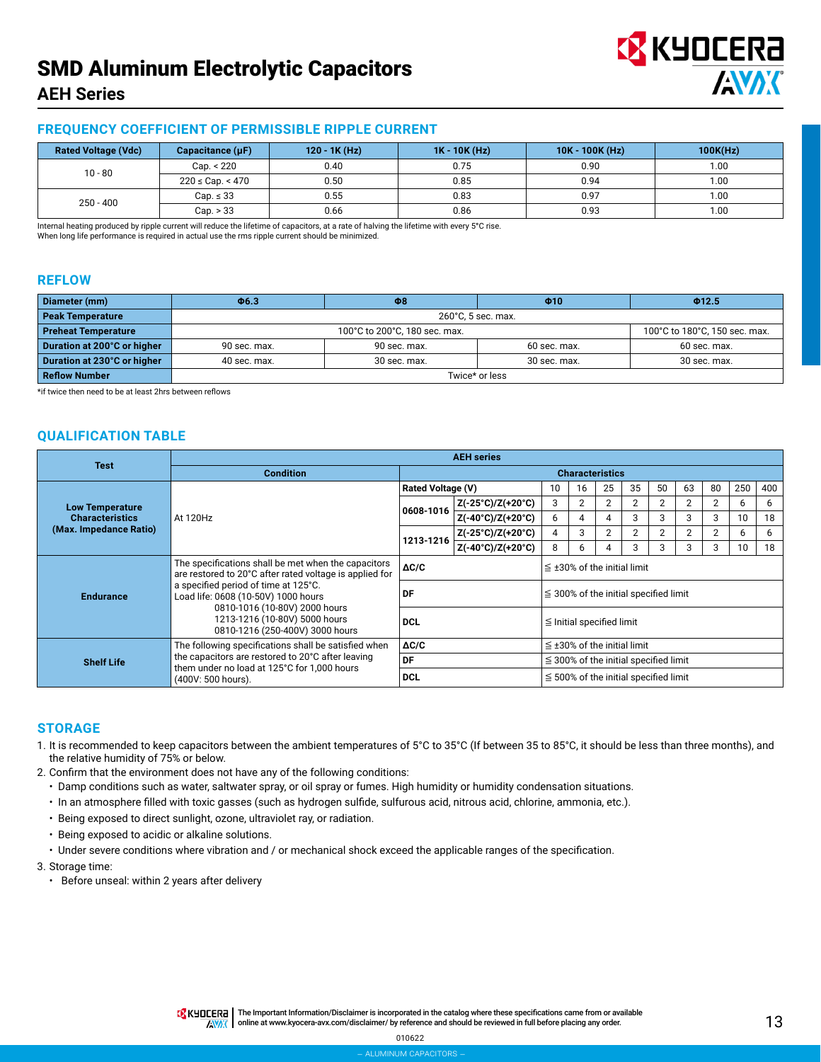# SMD Aluminum Electrolytic Capacitors

# **EX KYOCERA AVAK**

# **AEH Series**

# **FREQUENCY COEFFICIENT OF PERMISSIBLE RIPPLE CURRENT**

| <b>Rated Voltage (Vdc)</b> | Capacitance $(\mu F)$ | $120 - 1K$ (Hz) | $1K - 10K$ (Hz) | $10K - 100K$ (Hz) | 100K(Hz) |
|----------------------------|-----------------------|-----------------|-----------------|-------------------|----------|
| $10 - 80$                  | Cap. < 220            | 0.40            | 0.75            | 0.90              | 1.00     |
|                            | $220 \leq$ Cap. < 470 | 0.50            | 0.85            | 0.94              | 1.00     |
| $250 - 400$                | $Cap. \leq 33$        | 0.55            | 0.83            | 0.97              | 1.00     |
|                            | Cap. > 33             | 0.66            | 0.86            | 0.93              | 1.00     |

Internal heating produced by ripple current will reduce the lifetime of capacitors, at a rate of halving the lifetime with every 5**°**C rise. When long life performance is required in actual use the rms ripple current should be minimized.

#### **REFLOW**

| Diameter (mm)               | $\Phi$ 6.3   | $\Phi$ 8                      | $\Phi$ 10      | Φ12.5                         |  |  |  |  |  |  |
|-----------------------------|--------------|-------------------------------|----------------|-------------------------------|--|--|--|--|--|--|
| <b>Peak Temperature</b>     |              | 260°C, 5 sec. max.            |                |                               |  |  |  |  |  |  |
| <b>Preheat Temperature</b>  |              | 100°C to 200°C, 180 sec. max. |                | 100°C to 180°C, 150 sec. max. |  |  |  |  |  |  |
| Duration at 200°C or higher | 90 sec. max. | 90 sec. max.                  | $60$ sec. max. | 60 sec. max.                  |  |  |  |  |  |  |
| Duration at 230°C or higher | 40 sec. max. | 30 sec. max.<br>30 sec. max.  |                |                               |  |  |  |  |  |  |
| <b>Reflow Number</b>        |              |                               | Twice* or less |                               |  |  |  |  |  |  |

\*if twice then need to be at least 2hrs between reflows

# **QUALIFICATION TABLE**

| <b>Test</b>                                                                |                                                                                                                |                          | <b>AEH</b> series                          |                                            |                                            |                |                |                |                |                |     |     |
|----------------------------------------------------------------------------|----------------------------------------------------------------------------------------------------------------|--------------------------|--------------------------------------------|--------------------------------------------|--------------------------------------------|----------------|----------------|----------------|----------------|----------------|-----|-----|
|                                                                            | <b>Condition</b>                                                                                               |                          | <b>Characteristics</b>                     |                                            |                                            |                |                |                |                |                |     |     |
|                                                                            |                                                                                                                | <b>Rated Voltage (V)</b> |                                            | 10                                         | 16                                         | 25             | 35             | 50             | 63             | 80             | 250 | 400 |
| <b>Low Temperature</b><br><b>Characteristics</b><br>(Max. Impedance Ratio) | At 120Hz                                                                                                       | 0608-1016                | Z(-25°C)/Z(+20°C)                          | 3                                          | 2                                          | $\overline{2}$ | 2              | 2              | 2              | 2              | b   | 6   |
|                                                                            |                                                                                                                |                          | $Z(-40^{\circ}C)/Z(+20^{\circ}C)$          | 6                                          |                                            | 4              | 3              | 3              | 3              | 3              | 10  | 18  |
|                                                                            |                                                                                                                | 1213-1216                | Z(-25°C)/Z(+20°C)                          | 4                                          | 3                                          | $\overline{2}$ | $\overline{2}$ | $\overline{2}$ | $\overline{2}$ | $\overline{2}$ | 6   | 6   |
|                                                                            |                                                                                                                |                          | Z(-40°C)/Z(+20°C)                          | 8                                          | h                                          | Δ              | 3              | 3              |                | 3              | 10  | 18  |
|                                                                            | The specifications shall be met when the capacitors<br>are restored to 20°C after rated voltage is applied for | $\Delta C/C$             |                                            |                                            | $\leq$ ±30% of the initial limit           |                |                |                |                |                |     |     |
| <b>Endurance</b>                                                           | a specified period of time at 125°C.<br>Load life: 0608 (10-50V) 1000 hours                                    | DF                       | $\leq$ 300% of the initial specified limit |                                            |                                            |                |                |                |                |                |     |     |
|                                                                            | 0810-1016 (10-80V) 2000 hours<br>1213-1216 (10-80V) 5000 hours<br>0810-1216 (250-400V) 3000 hours              | <b>DCL</b>               | $\leq$ Initial specified limit             |                                            |                                            |                |                |                |                |                |     |     |
| <b>Shelf Life</b>                                                          | The following specifications shall be satisfied when                                                           | $\Delta C/C$             |                                            |                                            | $\leq$ ±30% of the initial limit           |                |                |                |                |                |     |     |
|                                                                            | the capacitors are restored to 20°C after leaving<br>them under no load at 125°C for 1,000 hours               | DF                       |                                            | $\leq$ 300% of the initial specified limit |                                            |                |                |                |                |                |     |     |
|                                                                            | (400V: 500 hours).                                                                                             | <b>DCL</b>               |                                            |                                            | $\leq$ 500% of the initial specified limit |                |                |                |                |                |     |     |

#### **STORAGE**

- 1. It is recommended to keep capacitors between the ambient temperatures of 5°C to 35°C (If between 35 to 85°C, it should be less than three months), and the relative humidity of 75% or below.
- 2. Confirm that the environment does not have any of the following conditions:
	- Damp conditions such as water, saltwater spray, or oil spray or fumes. High humidity or humidity condensation situations.
	- In an atmosphere filled with toxic gasses (such as hydrogen sulfide, sulfurous acid, nitrous acid, chlorine, ammonia, etc.).
	- Being exposed to direct sunlight, ozone, ultraviolet ray, or radiation.
	- Being exposed to acidic or alkaline solutions.
	- Under severe conditions where vibration and / or mechanical shock exceed the applicable ranges of the specification.

3. Storage time:

• Before unseal: within 2 years after delivery

010622